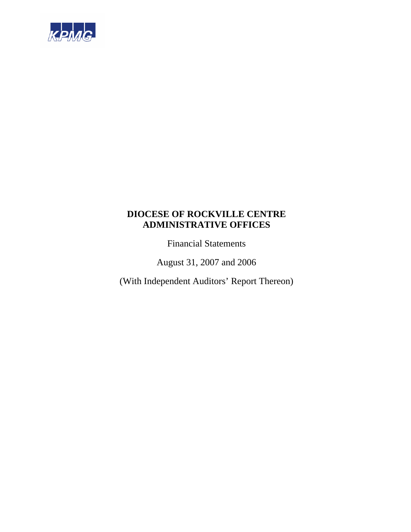

Financial Statements

August 31, 2007 and 2006

(With Independent Auditors' Report Thereon)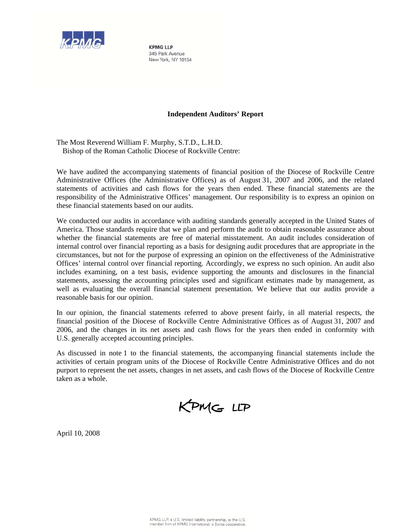

**KPMG IIP** 345 Park Avenue New York, NY 10154

# **Independent Auditors' Report**

The Most Reverend William F. Murphy, S.T.D., L.H.D. Bishop of the Roman Catholic Diocese of Rockville Centre:

We have audited the accompanying statements of financial position of the Diocese of Rockville Centre Administrative Offices (the Administrative Offices) as of August 31, 2007 and 2006, and the related statements of activities and cash flows for the years then ended. These financial statements are the responsibility of the Administrative Offices' management. Our responsibility is to express an opinion on these financial statements based on our audits.

We conducted our audits in accordance with auditing standards generally accepted in the United States of America. Those standards require that we plan and perform the audit to obtain reasonable assurance about whether the financial statements are free of material misstatement. An audit includes consideration of internal control over financial reporting as a basis for designing audit procedures that are appropriate in the circumstances, but not for the purpose of expressing an opinion on the effectiveness of the Administrative Offices' internal control over financial reporting. Accordingly, we express no such opinion. An audit also includes examining, on a test basis, evidence supporting the amounts and disclosures in the financial statements, assessing the accounting principles used and significant estimates made by management, as well as evaluating the overall financial statement presentation. We believe that our audits provide a reasonable basis for our opinion.

In our opinion, the financial statements referred to above present fairly, in all material respects, the financial position of the Diocese of Rockville Centre Administrative Offices as of August 31, 2007 and 2006, and the changes in its net assets and cash flows for the years then ended in conformity with U.S. generally accepted accounting principles.

As discussed in note 1 to the financial statements, the accompanying financial statements include the activities of certain program units of the Diocese of Rockville Centre Administrative Offices and do not purport to represent the net assets, changes in net assets, and cash flows of the Diocese of Rockville Centre taken as a whole.

KPMG LLP

April 10, 2008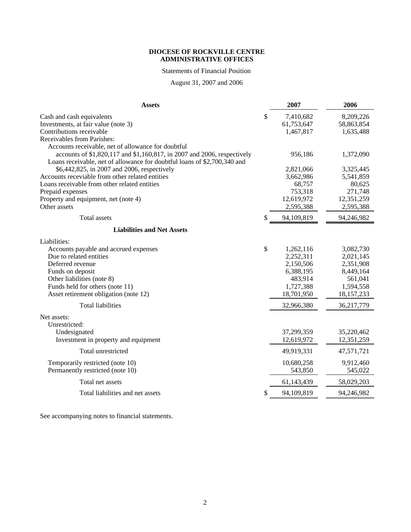# Statements of Financial Position

August 31, 2007 and 2006

| <b>Assets</b>                                                                                                                                                                                             | 2007                                       | 2006                                 |
|-----------------------------------------------------------------------------------------------------------------------------------------------------------------------------------------------------------|--------------------------------------------|--------------------------------------|
| Cash and cash equivalents<br>Investments, at fair value (note 3)<br>Contributions receivable                                                                                                              | \$<br>7,410,682<br>61,753,647<br>1,467,817 | 8,209,226<br>58,863,854<br>1,635,488 |
| Receivables from Parishes:                                                                                                                                                                                |                                            |                                      |
| Accounts receivable, net of allowance for doubtful<br>accounts of \$1,820,117 and \$1,160,817, in 2007 and 2006, respectively<br>Loans receivable, net of allowance for doubtful loans of \$2,700,340 and | 956,186                                    | 1,372,090                            |
| \$6,442,825, in 2007 and 2006, respectively                                                                                                                                                               | 2,821,066                                  | 3,325,445                            |
| Accounts receviable from other related entities                                                                                                                                                           | 3,662,986                                  | 5,541,859                            |
| Loans receivable from other related entities                                                                                                                                                              | 68,757                                     | 80,625                               |
| Prepaid expenses                                                                                                                                                                                          | 753,318                                    | 271,748                              |
| Property and equipment, net (note 4)                                                                                                                                                                      | 12,619,972                                 | 12,351,259                           |
| Other assets                                                                                                                                                                                              | 2,595,388                                  | 2,595,388                            |
| Total assets                                                                                                                                                                                              | \$<br>94,109,819                           | 94,246,982                           |
| <b>Liabilities and Net Assets</b>                                                                                                                                                                         |                                            |                                      |
| Liabilities:                                                                                                                                                                                              |                                            |                                      |
| Accounts payable and accrued expenses                                                                                                                                                                     | \$<br>1,262,116                            | 3,082,730                            |
| Due to related entities                                                                                                                                                                                   | 2,252,311                                  | 2,021,145                            |
| Deferred revenue                                                                                                                                                                                          | 2,150,506                                  | 2,351,908                            |
| Funds on deposit                                                                                                                                                                                          | 6,388,195                                  | 8,449,164                            |
| Other liabilities (note 8)                                                                                                                                                                                | 483,914                                    | 561,041                              |
| Funds held for others (note 11)                                                                                                                                                                           | 1,727,388                                  | 1,594,558                            |
| Asset retirement obligation (note 12)                                                                                                                                                                     | 18,701,950                                 | 18,157,233                           |
| <b>Total liabilities</b>                                                                                                                                                                                  | 32,966,380                                 | 36,217,779                           |
| Net assets:<br>Unrestricted:                                                                                                                                                                              |                                            |                                      |
| Undesignated<br>Investment in property and equipment                                                                                                                                                      | 37,299,359<br>12,619,972                   | 35,220,462<br>12,351,259             |
| Total unrestricted                                                                                                                                                                                        | 49,919,331                                 | 47,571,721                           |
| Temporarily restricted (note 10)<br>Permanently restricted (note 10)                                                                                                                                      | 10,680,258<br>543,850                      | 9,912,460<br>545,022                 |
| Total net assets                                                                                                                                                                                          | 61,143,439                                 | 58,029,203                           |
| Total liabilities and net assets                                                                                                                                                                          | \$<br>94,109,819                           | 94,246,982                           |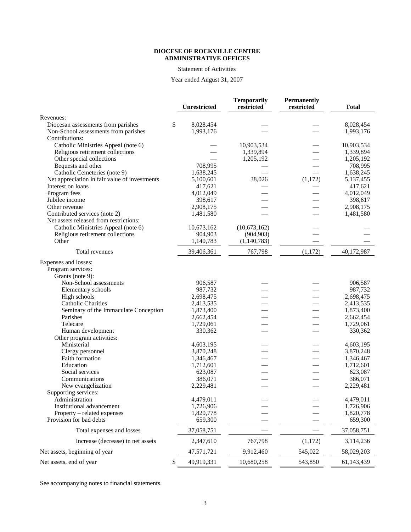#### Statement of Activities

# Year ended August 31, 2007

|                                               |                    | <b>Temporarily</b> | Permanently |                    |
|-----------------------------------------------|--------------------|--------------------|-------------|--------------------|
|                                               | Unrestricted       | restricted         | restricted  | <b>Total</b>       |
| Revenues:                                     |                    |                    |             |                    |
| Diocesan assessments from parishes            | \$<br>8,028,454    |                    |             | 8,028,454          |
| Non-School assessments from parishes          | 1,993,176          |                    |             | 1,993,176          |
| Contributions:                                |                    |                    |             |                    |
| Catholic Ministries Appeal (note 6)           |                    | 10,903,534         |             | 10,903,534         |
| Religious retirement collections              |                    | 1,339,894          |             | 1,339,894          |
| Other special collections                     |                    | 1,205,192          |             | 1,205,192          |
| Bequests and other                            | 708,995            |                    |             | 708,995            |
| Catholic Cemeteries (note 9)                  | 1,638,245          |                    |             | 1,638,245          |
| Net appreciation in fair value of investments | 5,100,601          | 38,026             | (1,172)     | 5,137,455          |
| Interest on loans                             | 417,621            |                    |             | 417,621            |
| Program fees                                  | 4,012,049          |                    |             | 4,012,049          |
| Jubilee income                                | 398,617            |                    |             | 398,617            |
| Other revenue                                 | 2,908,175          |                    |             | 2,908,175          |
| Contributed services (note 2)                 | 1,481,580          |                    |             | 1,481,580          |
| Net assets released from restrictions:        |                    |                    |             |                    |
| Catholic Ministries Appeal (note 6)           | 10,673,162         | (10,673,162)       |             |                    |
| Religious retirement collections              | 904,903            | (904, 903)         |             |                    |
| Other                                         | 1,140,783          | (1,140,783)        |             |                    |
| Total revenues                                | 39,406,361         | 767,798            | (1,172)     | 40,172,987         |
| Expenses and losses:                          |                    |                    |             |                    |
| Program services:                             |                    |                    |             |                    |
| Grants (note 9):                              |                    |                    |             |                    |
| Non-School assessments                        | 906,587            |                    |             | 906,587            |
| Elementary schools                            | 987,732            |                    |             | 987,732            |
| High schools                                  | 2,698,475          |                    |             | 2,698,475          |
| Catholic Charities                            | 2,413,535          |                    |             | 2,413,535          |
| Seminary of the Immaculate Conception         | 1,873,400          |                    |             | 1,873,400          |
| Parishes                                      | 2,662,454          |                    |             | 2,662,454          |
| Telecare                                      | 1,729,061          |                    |             | 1,729,061          |
| Human development                             | 330,362            |                    |             | 330,362            |
| Other program activities:                     |                    |                    |             |                    |
| Ministerial                                   | 4,603,195          |                    |             | 4,603,195          |
| Clergy personnel                              | 3,870,248          |                    |             | 3,870,248          |
| Faith formation                               | 1,346,467          |                    |             | 1,346,467          |
| Education<br>Social services                  | 1,712,601          |                    |             | 1,712,601          |
| Communications                                | 623,087<br>386,071 |                    |             | 623,087<br>386,071 |
|                                               |                    |                    |             | 2,229,481          |
| New evangelization                            | 2,229,481          |                    |             |                    |
| Supporting services:<br>Administration        | 4,479,011          |                    |             | 4,479,011          |
| Institutional advancement                     | 1,726,906          |                    |             | 1,726,906          |
| Property – related expenses                   | 1,820,778          |                    |             | 1,820,778          |
| Provision for bad debts                       | 659,300            |                    |             | 659,300            |
| Total expenses and losses                     | 37,058,751         |                    |             | 37,058,751         |
| Increase (decrease) in net assets             |                    | 767,798            |             |                    |
|                                               | 2,347,610          |                    | (1,172)     | 3,114,236          |
| Net assets, beginning of year                 | 47,571,721         | 9,912,460          | 545,022     | 58,029,203         |
| Net assets, end of year                       | \$<br>49,919,331   | 10,680,258         | 543,850     | 61, 143, 439       |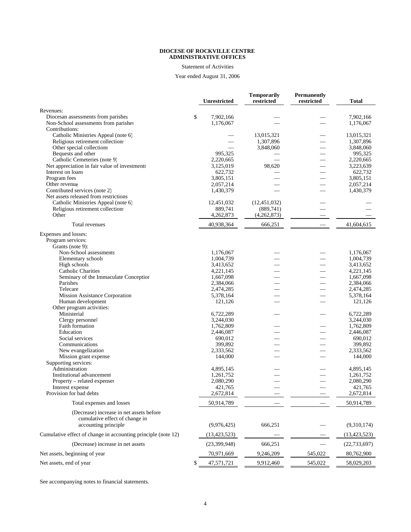# Statement of Activities

# Year ended August 31, 2006

|                                                                                              | Unrestricted                 | <b>Temporarily</b><br>restricted | <b>Permanently</b><br>restricted | <b>Total</b>           |
|----------------------------------------------------------------------------------------------|------------------------------|----------------------------------|----------------------------------|------------------------|
| Revenues:                                                                                    |                              |                                  |                                  |                        |
| Diocesan assessments from parishes<br>Non-School assessments from parishes<br>Contributions: | \$<br>7,902,166<br>1.176.067 |                                  |                                  | 7,902,166<br>1,176,067 |
| Catholic Ministries Appeal (note 6)                                                          |                              | 13,015,321                       |                                  | 13,015,321             |
| Religious retirement collections                                                             |                              | 1,307,896                        | $\overline{\phantom{0}}$         | 1,307,896              |
| Other special collections                                                                    |                              | 3,848,060                        |                                  | 3,848,060              |
| Bequests and other                                                                           | 995,325                      |                                  | $\overline{\phantom{0}}$         | 995,325                |
| Catholic Cemeteries (note 9)                                                                 | 2,220,665                    |                                  |                                  | 2,220,665              |
| Net appreciation in fair value of investments                                                | 3,125,019                    | 98,620                           | $\overline{\phantom{0}}$         | 3,223,639              |
| Interest on loans                                                                            | 622,732                      |                                  |                                  | 622,732                |
| Program fees                                                                                 | 3,805,151                    |                                  |                                  | 3,805,151              |
| Other revenue                                                                                | 2,057,214                    |                                  |                                  | 2,057,214              |
| Contributed services (note 2)<br>Net assets released from restrictions                       | 1,430,379                    |                                  |                                  | 1,430,379              |
| Catholic Ministries Appeal (note 6)                                                          | 12,451,032                   | (12, 451, 032)                   |                                  |                        |
| Religious retirement collections                                                             | 889,741                      | (889,741)                        |                                  |                        |
| Other                                                                                        | 4,262,873                    | (4,262,873)                      |                                  |                        |
| Total revenues                                                                               | 40,938,364                   | 666,251                          |                                  | 41,604,615             |
| Expenses and losses:<br>Program services:<br>Grants (note 9):                                |                              |                                  |                                  |                        |
| Non-School assessments                                                                       | 1,176,067                    |                                  |                                  | 1,176,067              |
| Elementary schools                                                                           | 1,004,739                    |                                  |                                  | 1,004,739              |
| High schools                                                                                 | 3,413,652                    |                                  |                                  | 3,413,652              |
| <b>Catholic Charities</b>                                                                    | 4,221,145                    |                                  |                                  | 4,221,145              |
| Seminary of the Immaculate Conception                                                        | 1,667,098                    |                                  |                                  | 1,667,098              |
| Parishes                                                                                     | 2,384,066                    |                                  |                                  | 2,384,066              |
| Telecare                                                                                     | 2,474,285                    |                                  |                                  | 2,474,285              |
| Mission Assistance Corporation<br>Human development                                          | 5,378,164<br>121,126         |                                  |                                  | 5,378,164<br>121,126   |
| Other program activities:                                                                    |                              |                                  |                                  |                        |
| Ministerial                                                                                  | 6,722,289                    |                                  |                                  | 6,722,289              |
| Clergy personnel                                                                             | 3,244,030                    |                                  |                                  | 3,244,030              |
| Faith formation                                                                              | 1,762,809                    |                                  |                                  | 1,762,809              |
| Education                                                                                    | 2,446,087                    |                                  |                                  | 2,446,087              |
| Social services                                                                              | 690,012                      |                                  |                                  | 690,012                |
| Communications                                                                               | 399,892                      |                                  |                                  | 399,892                |
| New evangelization                                                                           | 2,333,562                    |                                  | $\overline{\phantom{0}}$         | 2,333,562              |
| Mission grant expense<br>Supporting services:                                                | 144,000                      |                                  | $\overline{\phantom{0}}$         | 144,000                |
| Administration                                                                               | 4,895,145                    |                                  |                                  | 4,895,145              |
| Institutional advancement                                                                    | 1,261,752                    |                                  |                                  | 1,261,752              |
| Property – related expenses                                                                  | 2,080,290                    |                                  |                                  | 2,080,290              |
| Interest expense                                                                             | 421,765                      |                                  |                                  | 421,765                |
| Provision for bad debts                                                                      | 2,672,814                    |                                  |                                  | 2,672,814              |
| Total expenses and losses                                                                    | 50,914,789                   |                                  |                                  | 50,914,789             |
| (Decrease) increase in net assets before<br>cumulative effect of change in                   |                              |                                  |                                  |                        |
| accounting principle                                                                         | (9,976,425)                  | 666,251                          |                                  | (9,310,174)            |
| Cumulative effect of change in accounting principle (note 12)                                | (13, 423, 523)               |                                  |                                  | (13, 423, 523)         |
| (Decrease) increase in net assets                                                            | (23, 399, 948)               | 666,251                          |                                  | (22, 733, 697)         |
| Net assets, beginning of year                                                                | 70,971,669                   | 9,246,209                        | 545,022                          | 80,762,900             |
| Net assets, end of year                                                                      | \$<br>47,571,721             | 9,912,460                        | 545,022                          | 58,029,203             |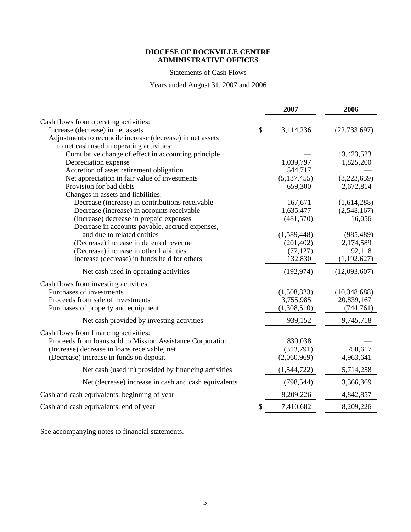# Statements of Cash Flows

Years ended August 31, 2007 and 2006

|                                                            | 2007            | 2006           |
|------------------------------------------------------------|-----------------|----------------|
| Cash flows from operating activities:                      |                 |                |
| Increase (decrease) in net assets                          | \$<br>3,114,236 | (22, 733, 697) |
| Adjustments to reconcile increase (decrease) in net assets |                 |                |
| to net cash used in operating activities:                  |                 |                |
| Cumulative change of effect in accounting principle        |                 | 13,423,523     |
| Depreciation expense                                       | 1,039,797       | 1,825,200      |
| Accretion of asset retirement obligation                   | 544,717         |                |
| Net appreciation in fair value of investments              | (5, 137, 455)   | (3,223,639)    |
| Provision for bad debts                                    | 659,300         | 2,672,814      |
| Changes in assets and liabilities:                         |                 |                |
| Decrease (increase) in contributions receivable            | 167,671         | (1,614,288)    |
| Decrease (increase) in accounts receivable                 | 1,635,477       | (2,548,167)    |
| (Increase) decrease in prepaid expenses                    | (481, 570)      | 16,056         |
| Decrease in accounts payable, accrued expenses,            |                 |                |
| and due to related entities                                | (1,589,448)     | (985, 489)     |
| (Decrease) increase in deferred revenue                    | (201, 402)      | 2,174,589      |
| (Decrease) increase in other liabilities                   | (77, 127)       | 92,118         |
| Increase (decrease) in funds held for others               | 132,830         | (1,192,627)    |
| Net cash used in operating activities                      | (192, 974)      | (12,093,607)   |
| Cash flows from investing activities:                      |                 |                |
| Purchases of investments                                   | (1,508,323)     | (10,348,688)   |
| Proceeds from sale of investments                          | 3,755,985       | 20,839,167     |
| Purchases of property and equipment                        | (1,308,510)     | (744, 761)     |
| Net cash provided by investing activities                  | 939,152         | 9,745,718      |
|                                                            |                 |                |
| Cash flows from financing activities:                      |                 |                |
| Proceeds from loans sold to Mission Assistance Corporation | 830,038         |                |
| (Increase) decrease in loans receivable, net               | (313,791)       | 750,617        |
| (Decrease) increase in funds on deposit                    | (2,060,969)     | 4,963,641      |
| Net cash (used in) provided by financing activities        | (1,544,722)     | 5,714,258      |
| Net (decrease) increase in cash and cash equivalents       | (798, 544)      | 3,366,369      |
| Cash and cash equivalents, beginning of year               | 8,209,226       | 4,842,857      |
| Cash and cash equivalents, end of year                     | \$<br>7,410,682 | 8,209,226      |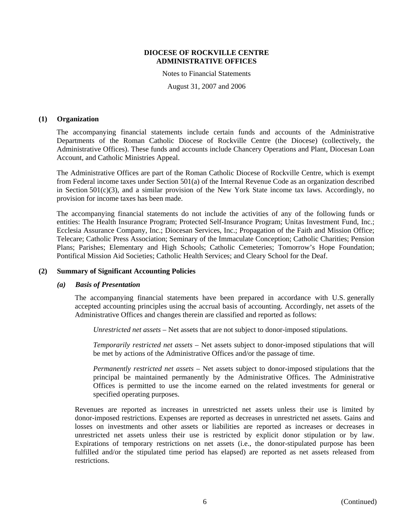Notes to Financial Statements

August 31, 2007 and 2006

#### **(1) Organization**

The accompanying financial statements include certain funds and accounts of the Administrative Departments of the Roman Catholic Diocese of Rockville Centre (the Diocese) (collectively, the Administrative Offices). These funds and accounts include Chancery Operations and Plant, Diocesan Loan Account, and Catholic Ministries Appeal.

The Administrative Offices are part of the Roman Catholic Diocese of Rockville Centre, which is exempt from Federal income taxes under Section 501(a) of the Internal Revenue Code as an organization described in Section 501(c)(3), and a similar provision of the New York State income tax laws. Accordingly, no provision for income taxes has been made.

The accompanying financial statements do not include the activities of any of the following funds or entities: The Health Insurance Program; Protected Self-Insurance Program; Unitas Investment Fund, Inc.; Ecclesia Assurance Company, Inc.; Diocesan Services, Inc.; Propagation of the Faith and Mission Office; Telecare; Catholic Press Association; Seminary of the Immaculate Conception; Catholic Charities; Pension Plans; Parishes; Elementary and High Schools; Catholic Cemeteries; Tomorrow's Hope Foundation; Pontifical Mission Aid Societies; Catholic Health Services; and Cleary School for the Deaf.

#### **(2) Summary of Significant Accounting Policies**

#### *(a) Basis of Presentation*

The accompanying financial statements have been prepared in accordance with U.S. generally accepted accounting principles using the accrual basis of accounting. Accordingly, net assets of the Administrative Offices and changes therein are classified and reported as follows:

*Unrestricted net assets* – Net assets that are not subject to donor-imposed stipulations.

*Temporarily restricted net assets* – Net assets subject to donor-imposed stipulations that will be met by actions of the Administrative Offices and/or the passage of time.

*Permanently restricted net assets* – Net assets subject to donor-imposed stipulations that the principal be maintained permanently by the Administrative Offices. The Administrative Offices is permitted to use the income earned on the related investments for general or specified operating purposes.

Revenues are reported as increases in unrestricted net assets unless their use is limited by donor-imposed restrictions. Expenses are reported as decreases in unrestricted net assets. Gains and losses on investments and other assets or liabilities are reported as increases or decreases in unrestricted net assets unless their use is restricted by explicit donor stipulation or by law. Expirations of temporary restrictions on net assets (i.e., the donor-stipulated purpose has been fulfilled and/or the stipulated time period has elapsed) are reported as net assets released from restrictions.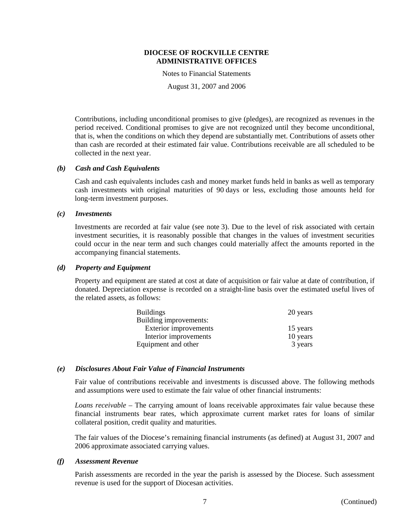Notes to Financial Statements

August 31, 2007 and 2006

Contributions, including unconditional promises to give (pledges), are recognized as revenues in the period received. Conditional promises to give are not recognized until they become unconditional, that is, when the conditions on which they depend are substantially met. Contributions of assets other than cash are recorded at their estimated fair value. Contributions receivable are all scheduled to be collected in the next year.

# *(b) Cash and Cash Equivalents*

Cash and cash equivalents includes cash and money market funds held in banks as well as temporary cash investments with original maturities of 90 days or less, excluding those amounts held for long-term investment purposes.

#### *(c) Investments*

Investments are recorded at fair value (see note 3). Due to the level of risk associated with certain investment securities, it is reasonably possible that changes in the values of investment securities could occur in the near term and such changes could materially affect the amounts reported in the accompanying financial statements.

## *(d) Property and Equipment*

Property and equipment are stated at cost at date of acquisition or fair value at date of contribution, if donated. Depreciation expense is recorded on a straight-line basis over the estimated useful lives of the related assets, as follows:

| <b>Buildings</b>       | 20 years |
|------------------------|----------|
| Building improvements: |          |
| Exterior improvements  | 15 years |
| Interior improvements  | 10 years |
| Equipment and other    | 3 years  |

# *(e) Disclosures About Fair Value of Financial Instruments*

Fair value of contributions receivable and investments is discussed above. The following methods and assumptions were used to estimate the fair value of other financial instruments:

*Loans receivable* – The carrying amount of loans receivable approximates fair value because these financial instruments bear rates, which approximate current market rates for loans of similar collateral position, credit quality and maturities.

The fair values of the Diocese's remaining financial instruments (as defined) at August 31, 2007 and 2006 approximate associated carrying values.

# *(f) Assessment Revenue*

Parish assessments are recorded in the year the parish is assessed by the Diocese. Such assessment revenue is used for the support of Diocesan activities.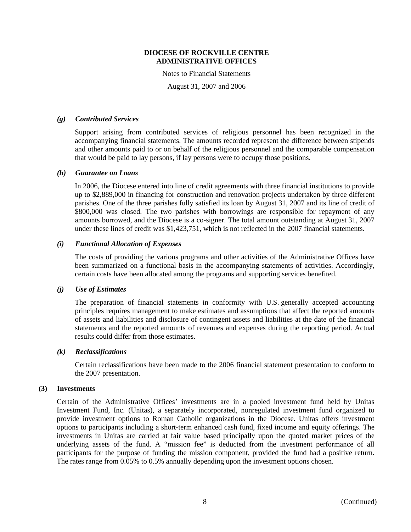Notes to Financial Statements

August 31, 2007 and 2006

## *(g) Contributed Services*

Support arising from contributed services of religious personnel has been recognized in the accompanying financial statements. The amounts recorded represent the difference between stipends and other amounts paid to or on behalf of the religious personnel and the comparable compensation that would be paid to lay persons, if lay persons were to occupy those positions.

# *(h) Guarantee on Loans*

In 2006, the Diocese entered into line of credit agreements with three financial institutions to provide up to \$2,889,000 in financing for construction and renovation projects undertaken by three different parishes. One of the three parishes fully satisfied its loan by August 31, 2007 and its line of credit of \$800,000 was closed. The two parishes with borrowings are responsible for repayment of any amounts borrowed, and the Diocese is a co-signer. The total amount outstanding at August 31, 2007 under these lines of credit was \$1,423,751, which is not reflected in the 2007 financial statements.

# *(i) Functional Allocation of Expenses*

The costs of providing the various programs and other activities of the Administrative Offices have been summarized on a functional basis in the accompanying statements of activities. Accordingly, certain costs have been allocated among the programs and supporting services benefited.

# *(j) Use of Estimates*

The preparation of financial statements in conformity with U.S. generally accepted accounting principles requires management to make estimates and assumptions that affect the reported amounts of assets and liabilities and disclosure of contingent assets and liabilities at the date of the financial statements and the reported amounts of revenues and expenses during the reporting period. Actual results could differ from those estimates.

#### *(k) Reclassifications*

Certain reclassifications have been made to the 2006 financial statement presentation to conform to the 2007 presentation.

### **(3) Investments**

Certain of the Administrative Offices' investments are in a pooled investment fund held by Unitas Investment Fund, Inc. (Unitas), a separately incorporated, nonregulated investment fund organized to provide investment options to Roman Catholic organizations in the Diocese. Unitas offers investment options to participants including a short-term enhanced cash fund, fixed income and equity offerings. The investments in Unitas are carried at fair value based principally upon the quoted market prices of the underlying assets of the fund. A "mission fee" is deducted from the investment performance of all participants for the purpose of funding the mission component, provided the fund had a positive return. The rates range from 0.05% to 0.5% annually depending upon the investment options chosen.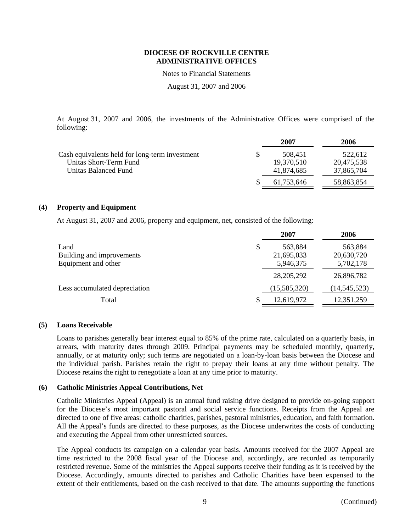Notes to Financial Statements

August 31, 2007 and 2006

At August 31, 2007 and 2006, the investments of the Administrative Offices were comprised of the following:

|                                                | 2007       | 2006       |
|------------------------------------------------|------------|------------|
| Cash equivalents held for long-term investment | 508.451    | 522.612    |
| Unitas Short-Term Fund                         | 19,370,510 | 20,475,538 |
| Unitas Balanced Fund                           | 41,874,685 | 37,865,704 |
|                                                | 61.753.646 | 58,863,854 |

# **(4) Property and Equipment**

At August 31, 2007 and 2006, property and equipment, net, consisted of the following:

|                               | 2007          | 2006           |
|-------------------------------|---------------|----------------|
| Land                          | \$<br>563,884 | 563,884        |
| Building and improvements     | 21,695,033    | 20,630,720     |
| Equipment and other           | 5,946,375     | 5,702,178      |
|                               | 28, 205, 292  | 26,896,782     |
| Less accumulated depreciation | (15,585,320)  | (14, 545, 523) |
| Total                         | 12,619,972    | 12,351,259     |

#### **(5) Loans Receivable**

Loans to parishes generally bear interest equal to 85% of the prime rate, calculated on a quarterly basis, in arrears, with maturity dates through 2009. Principal payments may be scheduled monthly, quarterly, annually, or at maturity only; such terms are negotiated on a loan-by-loan basis between the Diocese and the individual parish. Parishes retain the right to prepay their loans at any time without penalty. The Diocese retains the right to renegotiate a loan at any time prior to maturity.

# **(6) Catholic Ministries Appeal Contributions, Net**

Catholic Ministries Appeal (Appeal) is an annual fund raising drive designed to provide on-going support for the Diocese's most important pastoral and social service functions. Receipts from the Appeal are directed to one of five areas: catholic charities, parishes, pastoral ministries, education, and faith formation. All the Appeal's funds are directed to these purposes, as the Diocese underwrites the costs of conducting and executing the Appeal from other unrestricted sources.

The Appeal conducts its campaign on a calendar year basis. Amounts received for the 2007 Appeal are time restricted to the 2008 fiscal year of the Diocese and, accordingly, are recorded as temporarily restricted revenue. Some of the ministries the Appeal supports receive their funding as it is received by the Diocese. Accordingly, amounts directed to parishes and Catholic Charities have been expensed to the extent of their entitlements, based on the cash received to that date. The amounts supporting the functions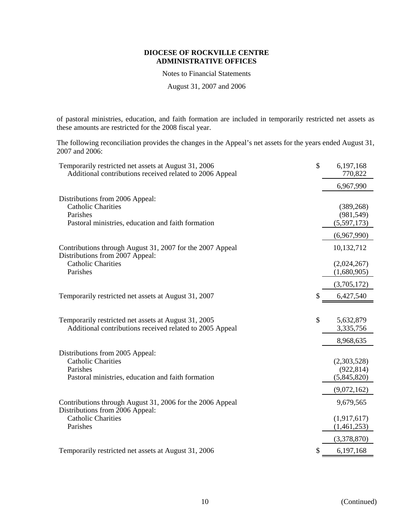Notes to Financial Statements

August 31, 2007 and 2006

of pastoral ministries, education, and faith formation are included in temporarily restricted net assets as these amounts are restricted for the 2008 fiscal year.

The following reconciliation provides the changes in the Appeal's net assets for the years ended August 31, 2007 and 2006:

| Temporarily restricted net assets at August 31, 2006<br>Additional contributions received related to 2006 Appeal | \$ | 6,197,168<br>770,822 |
|------------------------------------------------------------------------------------------------------------------|----|----------------------|
|                                                                                                                  |    | 6,967,990            |
| Distributions from 2006 Appeal:                                                                                  |    |                      |
| <b>Catholic Charities</b>                                                                                        |    | (389, 268)           |
| Parishes                                                                                                         |    | (981, 549)           |
| Pastoral ministries, education and faith formation                                                               |    | (5,597,173)          |
|                                                                                                                  |    | (6,967,990)          |
| Contributions through August 31, 2007 for the 2007 Appeal<br>Distributions from 2007 Appeal:                     |    | 10,132,712           |
| <b>Catholic Charities</b>                                                                                        |    | (2,024,267)          |
| Parishes                                                                                                         |    | (1,680,905)          |
|                                                                                                                  |    | (3,705,172)          |
| Temporarily restricted net assets at August 31, 2007                                                             | S  | 6,427,540            |
|                                                                                                                  |    |                      |
| Temporarily restricted net assets at August 31, 2005                                                             | \$ | 5,632,879            |
| Additional contributions received related to 2005 Appeal                                                         |    | 3,335,756            |
|                                                                                                                  |    | 8,968,635            |
| Distributions from 2005 Appeal:                                                                                  |    |                      |
| <b>Catholic Charities</b>                                                                                        |    | (2,303,528)          |
| Parishes                                                                                                         |    | (922, 814)           |
| Pastoral ministries, education and faith formation                                                               |    | (5,845,820)          |
|                                                                                                                  |    | (9,072,162)          |
| Contributions through August 31, 2006 for the 2006 Appeal<br>Distributions from 2006 Appeal:                     |    | 9,679,565            |
| <b>Catholic Charities</b>                                                                                        |    | (1,917,617)          |
| Parishes                                                                                                         |    | (1,461,253)          |
|                                                                                                                  |    | (3,378,870)          |
| Temporarily restricted net assets at August 31, 2006                                                             | \$ | 6,197,168            |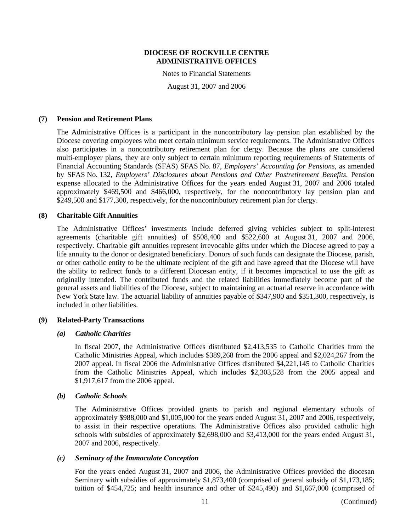Notes to Financial Statements

August 31, 2007 and 2006

#### **(7) Pension and Retirement Plans**

The Administrative Offices is a participant in the noncontributory lay pension plan established by the Diocese covering employees who meet certain minimum service requirements. The Administrative Offices also participates in a noncontributory retirement plan for clergy. Because the plans are considered multi-employer plans, they are only subject to certain minimum reporting requirements of Statements of Financial Accounting Standards (SFAS) SFAS No. 87, *Employers' Accounting for Pensions*, as amended by SFAS No. 132, *Employers' Disclosures about Pensions and Other Postretirement Benefits*. Pension expense allocated to the Administrative Offices for the years ended August 31, 2007 and 2006 totaled approximately \$469,500 and \$466,000, respectively, for the noncontributory lay pension plan and \$249,500 and \$177,300, respectively, for the noncontributory retirement plan for clergy.

#### **(8) Charitable Gift Annuities**

The Administrative Offices' investments include deferred giving vehicles subject to split-interest agreements (charitable gift annuities) of \$508,400 and \$522,600 at August 31, 2007 and 2006, respectively. Charitable gift annuities represent irrevocable gifts under which the Diocese agreed to pay a life annuity to the donor or designated beneficiary. Donors of such funds can designate the Diocese, parish, or other catholic entity to be the ultimate recipient of the gift and have agreed that the Diocese will have the ability to redirect funds to a different Diocesan entity, if it becomes impractical to use the gift as originally intended. The contributed funds and the related liabilities immediately become part of the general assets and liabilities of the Diocese, subject to maintaining an actuarial reserve in accordance with New York State law. The actuarial liability of annuities payable of \$347,900 and \$351,300, respectively, is included in other liabilities.

#### **(9) Related-Party Transactions**

#### *(a) Catholic Charities*

In fiscal 2007, the Administrative Offices distributed \$2,413,535 to Catholic Charities from the Catholic Ministries Appeal, which includes \$389,268 from the 2006 appeal and \$2,024,267 from the 2007 appeal. In fiscal 2006 the Administrative Offices distributed \$4,221,145 to Catholic Charities from the Catholic Ministries Appeal, which includes \$2,303,528 from the 2005 appeal and \$1,917,617 from the 2006 appeal.

#### *(b) Catholic Schools*

The Administrative Offices provided grants to parish and regional elementary schools of approximately \$988,000 and \$1,005,000 for the years ended August 31, 2007 and 2006, respectively, to assist in their respective operations. The Administrative Offices also provided catholic high schools with subsidies of approximately \$2,698,000 and \$3,413,000 for the years ended August 31, 2007 and 2006, respectively.

# *(c) Seminary of the Immaculate Conception*

For the years ended August 31, 2007 and 2006, the Administrative Offices provided the diocesan Seminary with subsidies of approximately \$1,873,400 (comprised of general subsidy of \$1,173,185; tuition of \$454,725; and health insurance and other of \$245,490) and \$1,667,000 (comprised of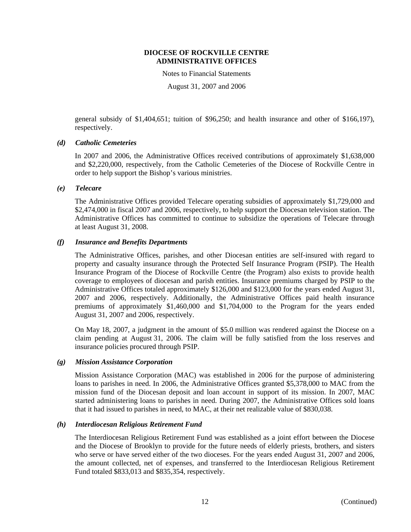Notes to Financial Statements

August 31, 2007 and 2006

general subsidy of \$1,404,651; tuition of \$96,250; and health insurance and other of \$166,197), respectively.

# *(d) Catholic Cemeteries*

In 2007 and 2006, the Administrative Offices received contributions of approximately \$1,638,000 and \$2,220,000, respectively, from the Catholic Cemeteries of the Diocese of Rockville Centre in order to help support the Bishop's various ministries.

# *(e) Telecare*

The Administrative Offices provided Telecare operating subsidies of approximately \$1,729,000 and \$2,474,000 in fiscal 2007 and 2006, respectively, to help support the Diocesan television station. The Administrative Offices has committed to continue to subsidize the operations of Telecare through at least August 31, 2008.

# *(f) Insurance and Benefits Departments*

The Administrative Offices, parishes, and other Diocesan entities are self-insured with regard to property and casualty insurance through the Protected Self Insurance Program (PSIP). The Health Insurance Program of the Diocese of Rockville Centre (the Program) also exists to provide health coverage to employees of diocesan and parish entities. Insurance premiums charged by PSIP to the Administrative Offices totaled approximately \$126,000 and \$123,000 for the years ended August 31, 2007 and 2006, respectively. Additionally, the Administrative Offices paid health insurance premiums of approximately \$1,460,000 and \$1,704,000 to the Program for the years ended August 31, 2007 and 2006, respectively.

On May 18, 2007, a judgment in the amount of \$5.0 million was rendered against the Diocese on a claim pending at August 31, 2006. The claim will be fully satisfied from the loss reserves and insurance policies procured through PSIP.

#### *(g) Mission Assistance Corporation*

Mission Assistance Corporation (MAC) was established in 2006 for the purpose of administering loans to parishes in need. In 2006, the Administrative Offices granted \$5,378,000 to MAC from the mission fund of the Diocesan deposit and loan account in support of its mission. In 2007, MAC started administering loans to parishes in need. During 2007, the Administrative Offices sold loans that it had issued to parishes in need, to MAC, at their net realizable value of \$830,038.

#### *(h) Interdiocesan Religious Retirement Fund*

The Interdiocesan Religious Retirement Fund was established as a joint effort between the Diocese and the Diocese of Brooklyn to provide for the future needs of elderly priests, brothers, and sisters who serve or have served either of the two dioceses. For the years ended August 31, 2007 and 2006, the amount collected, net of expenses, and transferred to the Interdiocesan Religious Retirement Fund totaled \$833,013 and \$835,354, respectively.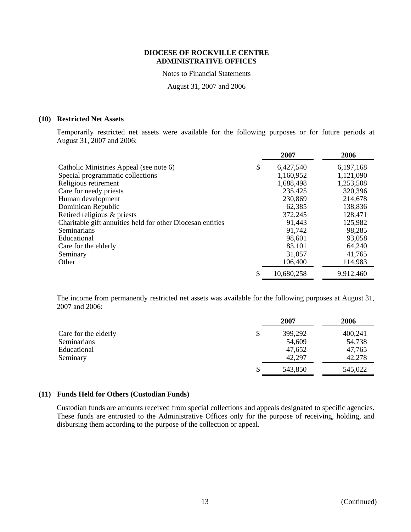Notes to Financial Statements

August 31, 2007 and 2006

# **(10) Restricted Net Assets**

Temporarily restricted net assets were available for the following purposes or for future periods at August 31, 2007 and 2006:

|                                                            | 2007            | 2006      |
|------------------------------------------------------------|-----------------|-----------|
| Catholic Ministries Appeal (see note 6)                    | \$<br>6,427,540 | 6,197,168 |
| Special programmatic collections                           | 1,160,952       | 1,121,090 |
| Religious retirement                                       | 1,688,498       | 1,253,508 |
| Care for needy priests                                     | 235,425         | 320,396   |
| Human development                                          | 230,869         | 214,678   |
| Dominican Republic                                         | 62,385          | 138,836   |
| Retired religious & priests                                | 372,245         | 128,471   |
| Charitable gift annuities held for other Diocesan entities | 91,443          | 125,982   |
| <b>Seminarians</b>                                         | 91,742          | 98,285    |
| Educational                                                | 98,601          | 93,058    |
| Care for the elderly                                       | 83,101          | 64,240    |
| Seminary                                                   | 31,057          | 41,765    |
| Other                                                      | 106,400         | 114,983   |
|                                                            | 10,680,258      | 9,912,460 |

The income from permanently restricted net assets was available for the following purposes at August 31, 2007 and 2006:

|                      | 2007    | 2006    |
|----------------------|---------|---------|
| Care for the elderly | 399,292 | 400,241 |
| Seminarians          | 54,609  | 54,738  |
| Educational          | 47,652  | 47,765  |
| Seminary             | 42,297  | 42,278  |
|                      | 543,850 | 545,022 |

# **(11) Funds Held for Others (Custodian Funds)**

Custodian funds are amounts received from special collections and appeals designated to specific agencies. These funds are entrusted to the Administrative Offices only for the purpose of receiving, holding, and disbursing them according to the purpose of the collection or appeal.